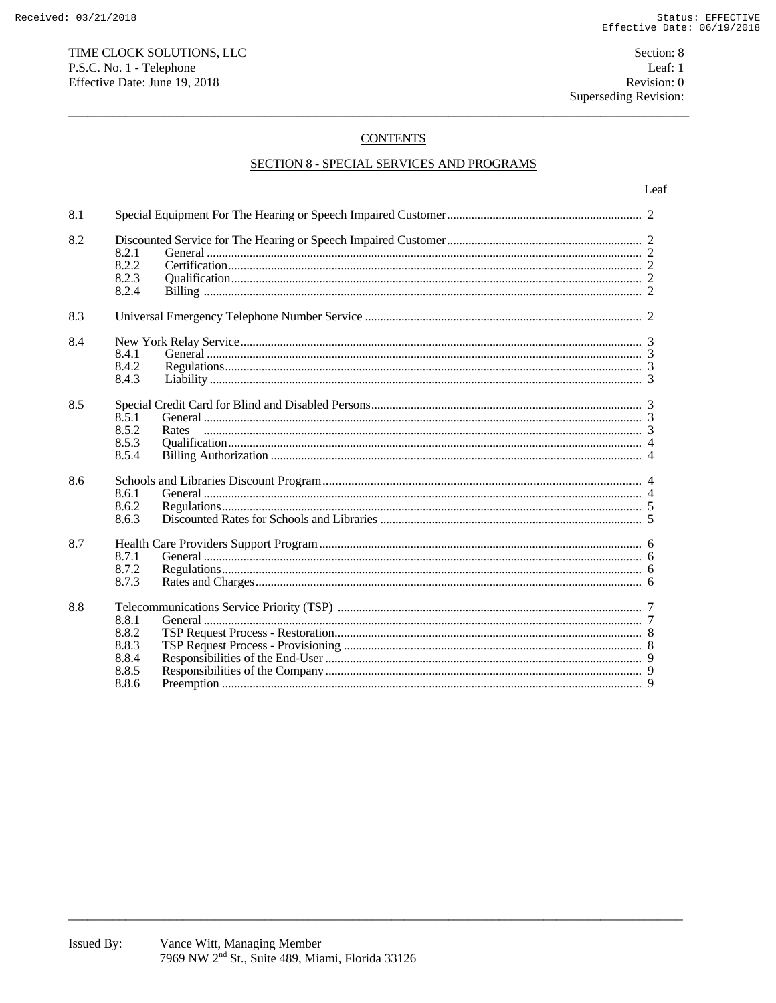# **CONTENTS**

# **SECTION 8 - SPECIAL SERVICES AND PROGRAMS**

| 8.1 |                                                    |  |  |  |
|-----|----------------------------------------------------|--|--|--|
| 8.2 | 8.2.1<br>8.2.2<br>8.2.3<br>8.2.4                   |  |  |  |
| 8.3 |                                                    |  |  |  |
| 8.4 | 8.4.1<br>8.4.2<br>8.4.3                            |  |  |  |
| 8.5 | 8.5.1<br>8.5.2<br>Rates<br>8.5.3<br>8.5.4          |  |  |  |
| 8.6 | 8.6.1<br>8.6.2<br>8.6.3                            |  |  |  |
| 8.7 | 8.7.1<br>8.7.2<br>8.7.3                            |  |  |  |
| 8.8 | 8.8.1<br>8.8.2<br>8.8.3<br>8.8.4<br>8.8.5<br>8.8.6 |  |  |  |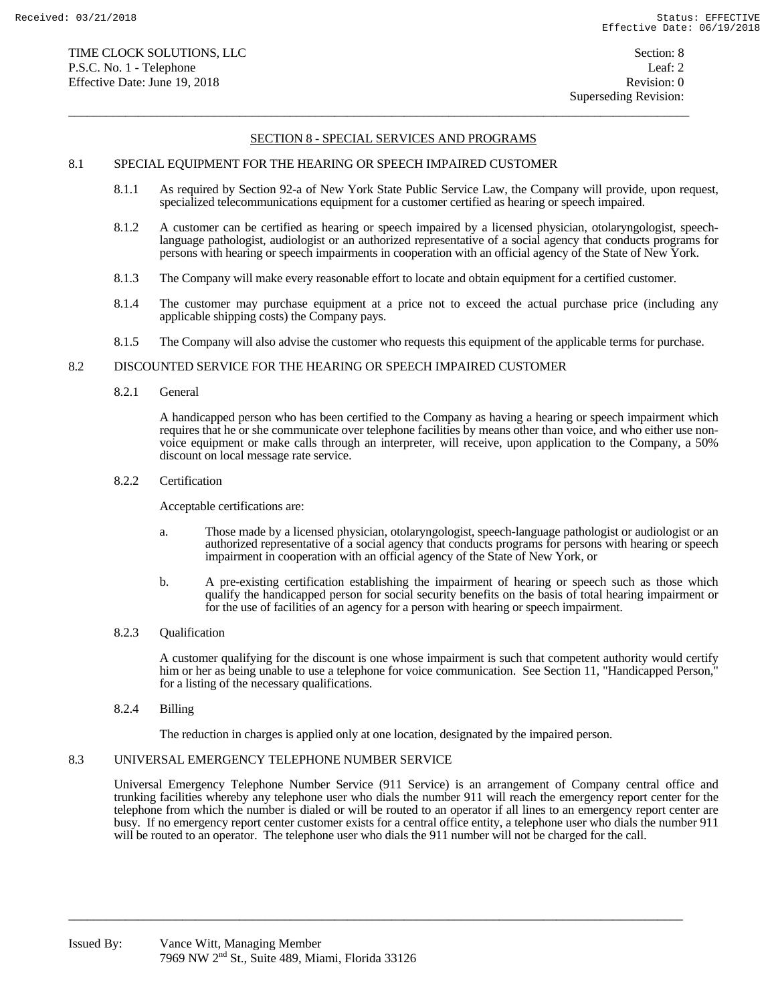$\overline{a}$  , and the state of the state of the state of the state of the state of the state of the state of the state of the state of the state of the state of the state of the state of the state of the state of the state o

# 8.1 SPECIAL EQUIPMENT FOR THE HEARING OR SPEECH IMPAIRED CUSTOMER

- 8.1.1 As required by Section 92-a of New York State Public Service Law, the Company will provide, upon request, specialized telecommunications equipment for a customer certified as hearing or speech impaired.
- 8.1.2 A customer can be certified as hearing or speech impaired by a licensed physician, otolaryngologist, speechlanguage pathologist, audiologist or an authorized representative of a social agency that conducts programs for persons with hearing or speech impairments in cooperation with an official agency of the State of New York.
- 8.1.3 The Company will make every reasonable effort to locate and obtain equipment for a certified customer.
- 8.1.4 The customer may purchase equipment at a price not to exceed the actual purchase price (including any applicable shipping costs) the Company pays.
- 8.1.5 The Company will also advise the customer who requests this equipment of the applicable terms for purchase.

#### 8.2 DISCOUNTED SERVICE FOR THE HEARING OR SPEECH IMPAIRED CUSTOMER

8.2.1 General

 A handicapped person who has been certified to the Company as having a hearing or speech impairment which requires that he or she communicate over telephone facilities by means other than voice, and who either use nonvoice equipment or make calls through an interpreter, will receive, upon application to the Company, a 50% discount on local message rate service.

#### 8.2.2 Certification

Acceptable certifications are:

- a. Those made by a licensed physician, otolaryngologist, speech-language pathologist or audiologist or an authorized representative of a social agency that conducts programs for persons with hearing or speech impairment in cooperation with an official agency of the State of New York, or
- b. A pre-existing certification establishing the impairment of hearing or speech such as those which qualify the handicapped person for social security benefits on the basis of total hearing impairment or for the use of facilities of an agency for a person with hearing or speech impairment.
- 8.2.3 Qualification

 A customer qualifying for the discount is one whose impairment is such that competent authority would certify him or her as being unable to use a telephone for voice communication. See Section 11, "Handicapped Person," for a listing of the necessary qualifications.

8.2.4 Billing

The reduction in charges is applied only at one location, designated by the impaired person.

 $\overline{a_1}$  ,  $\overline{a_2}$  ,  $\overline{a_3}$  ,  $\overline{a_4}$  ,  $\overline{a_5}$  ,  $\overline{a_6}$  ,  $\overline{a_7}$  ,  $\overline{a_8}$  ,  $\overline{a_9}$  ,  $\overline{a_9}$  ,  $\overline{a_9}$  ,  $\overline{a_9}$  ,  $\overline{a_9}$  ,  $\overline{a_9}$  ,  $\overline{a_9}$  ,  $\overline{a_9}$  ,  $\overline{a_9}$  ,

# 8.3 UNIVERSAL EMERGENCY TELEPHONE NUMBER SERVICE

 Universal Emergency Telephone Number Service (911 Service) is an arrangement of Company central office and trunking facilities whereby any telephone user who dials the number 911 will reach the emergency report center for the telephone from which the number is dialed or will be routed to an operator if all lines to an emergency report center are busy. If no emergency report center customer exists for a central office entity, a telephone user who dials the number 911 will be routed to an operator. The telephone user who dials the 911 number will not be charged for the call.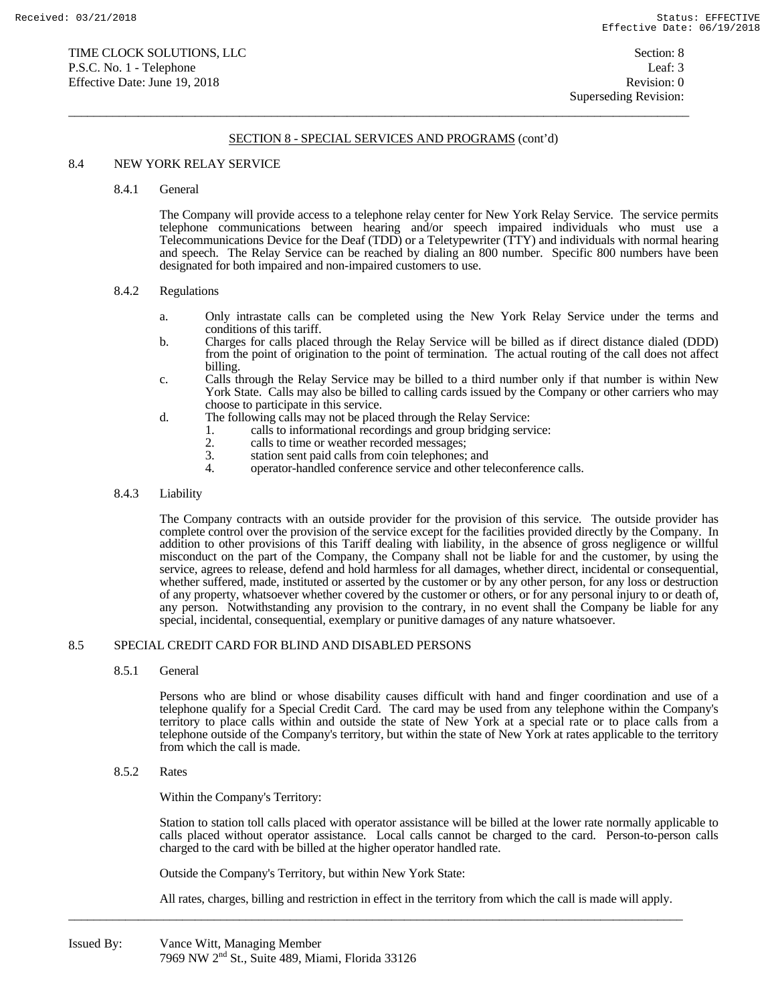$\overline{a}$  , and the state of the state of the state of the state of the state of the state of the state of the state of the state of the state of the state of the state of the state of the state of the state of the state o

## 8.4 NEW YORK RELAY SERVICE

#### 8.4.1 General

 The Company will provide access to a telephone relay center for New York Relay Service. The service permits telephone communications between hearing and/or speech impaired individuals who must use a Telecommunications Device for the Deaf (TDD) or a Teletypewriter (TTY) and individuals with normal hearing and speech. The Relay Service can be reached by dialing an 800 number. Specific 800 numbers have been designated for both impaired and non-impaired customers to use.

#### 8.4.2 Regulations

- a. Only intrastate calls can be completed using the New York Relay Service under the terms and conditions of this tariff.
- b. Charges for calls placed through the Relay Service will be billed as if direct distance dialed (DDD) from the point of origination to the point of termination. The actual routing of the call does not affect billing.
- c. Calls through the Relay Service may be billed to a third number only if that number is within New York State. Calls may also be billed to calling cards issued by the Company or other carriers who may choose to participate in this service.
- d. The following calls may not be placed through the Relay Service:
	- 1. calls to informational recordings and group bridging service:
		- 2. calls to time or weather recorded messages;<br>3. station sent paid calls from coin telephones:
		- 3. station sent paid calls from coin telephones; and<br>4. operator-handled conference service and other te
		- 4. operator-handled conference service and other teleconference calls.

#### 8.4.3 Liability

 The Company contracts with an outside provider for the provision of this service. The outside provider has complete control over the provision of the service except for the facilities provided directly by the Company. In addition to other provisions of this Tariff dealing with liability, in the absence of gross negligence or willful misconduct on the part of the Company, the Company shall not be liable for and the customer, by using the service, agrees to release, defend and hold harmless for all damages, whether direct, incidental or consequential, whether suffered, made, instituted or asserted by the customer or by any other person, for any loss or destruction of any property, whatsoever whether covered by the customer or others, or for any personal injury to or death of, any person. Notwithstanding any provision to the contrary, in no event shall the Company be liable for any special, incidental, consequential, exemplary or punitive damages of any nature whatsoever.

#### 8.5 SPECIAL CREDIT CARD FOR BLIND AND DISABLED PERSONS

8.5.1 General

 Persons who are blind or whose disability causes difficult with hand and finger coordination and use of a telephone qualify for a Special Credit Card. The card may be used from any telephone within the Company's territory to place calls within and outside the state of New York at a special rate or to place calls from a telephone outside of the Company's territory, but within the state of New York at rates applicable to the territory from which the call is made.

8.5.2 Rates

Within the Company's Territory:

 Station to station toll calls placed with operator assistance will be billed at the lower rate normally applicable to calls placed without operator assistance. Local calls cannot be charged to the card. Person-to-person calls charged to the card with be billed at the higher operator handled rate.

Outside the Company's Territory, but within New York State:

All rates, charges, billing and restriction in effect in the territory from which the call is made will apply.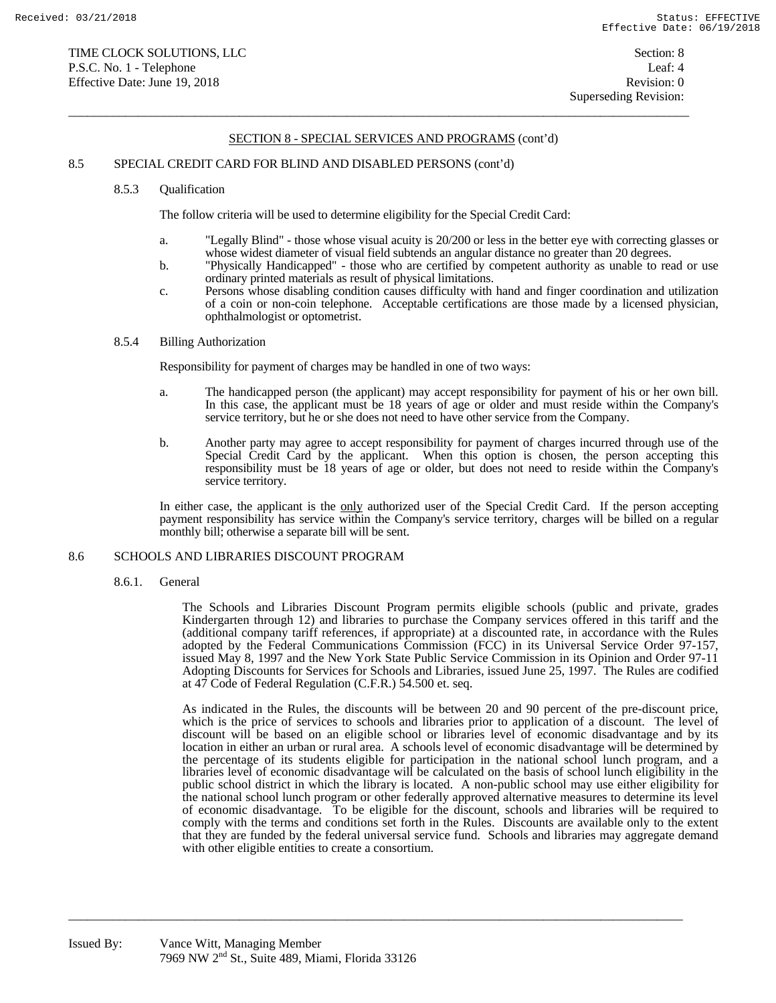$\overline{a}$  , and the state of the state of the state of the state of the state of the state of the state of the state of the state of the state of the state of the state of the state of the state of the state of the state o

## 8.5 SPECIAL CREDIT CARD FOR BLIND AND DISABLED PERSONS (cont'd)

#### 8.5.3 Qualification

The follow criteria will be used to determine eligibility for the Special Credit Card:

- a. "Legally Blind" those whose visual acuity is 20/200 or less in the better eye with correcting glasses or whose widest diameter of visual field subtends an angular distance no greater than 20 degrees.
- b. "Physically Handicapped" those who are certified by competent authority as unable to read or use ordinary printed materials as result of physical limitations.
- c. Persons whose disabling condition causes difficulty with hand and finger coordination and utilization of a coin or non-coin telephone. Acceptable certifications are those made by a licensed physician, ophthalmologist or optometrist.

# 8.5.4 Billing Authorization

Responsibility for payment of charges may be handled in one of two ways:

- a. The handicapped person (the applicant) may accept responsibility for payment of his or her own bill. In this case, the applicant must be 18 years of age or older and must reside within the Company's service territory, but he or she does not need to have other service from the Company.
- b. Another party may agree to accept responsibility for payment of charges incurred through use of the Special Credit Card by the applicant. When this option is chosen, the person accepting this responsibility must be 18 years of age or older, but does not need to reside within the Company's service territory.

 In either case, the applicant is the only authorized user of the Special Credit Card. If the person accepting payment responsibility has service within the Company's service territory, charges will be billed on a regular monthly bill; otherwise a separate bill will be sent.

#### 8.6 SCHOOLS AND LIBRARIES DISCOUNT PROGRAM

8.6.1. General

The Schools and Libraries Discount Program permits eligible schools (public and private, grades Kindergarten through 12) and libraries to purchase the Company services offered in this tariff and the (additional company tariff references, if appropriate) at a discounted rate, in accordance with the Rules adopted by the Federal Communications Commission (FCC) in its Universal Service Order 97-157, issued May 8, 1997 and the New York State Public Service Commission in its Opinion and Order 97-11 Adopting Discounts for Services for Schools and Libraries, issued June 25, 1997. The Rules are codified at 47 Code of Federal Regulation (C.F.R.) 54.500 et. seq.

As indicated in the Rules, the discounts will be between 20 and 90 percent of the pre-discount price, which is the price of services to schools and libraries prior to application of a discount. The level of discount will be based on an eligible school or libraries level of economic disadvantage and by its location in either an urban or rural area. A schools level of economic disadvantage will be determined by the percentage of its students eligible for participation in the national school lunch program, and a libraries level of economic disadvantage will be calculated on the basis of school lunch eligibility in the public school district in which the library is located. A non-public school may use either eligibility for the national school lunch program or other federally approved alternative measures to determine its level of economic disadvantage. To be eligible for the discount, schools and libraries will be required to comply with the terms and conditions set forth in the Rules. Discounts are available only to the extent that they are funded by the federal universal service fund. Schools and libraries may aggregate demand with other eligible entities to create a consortium.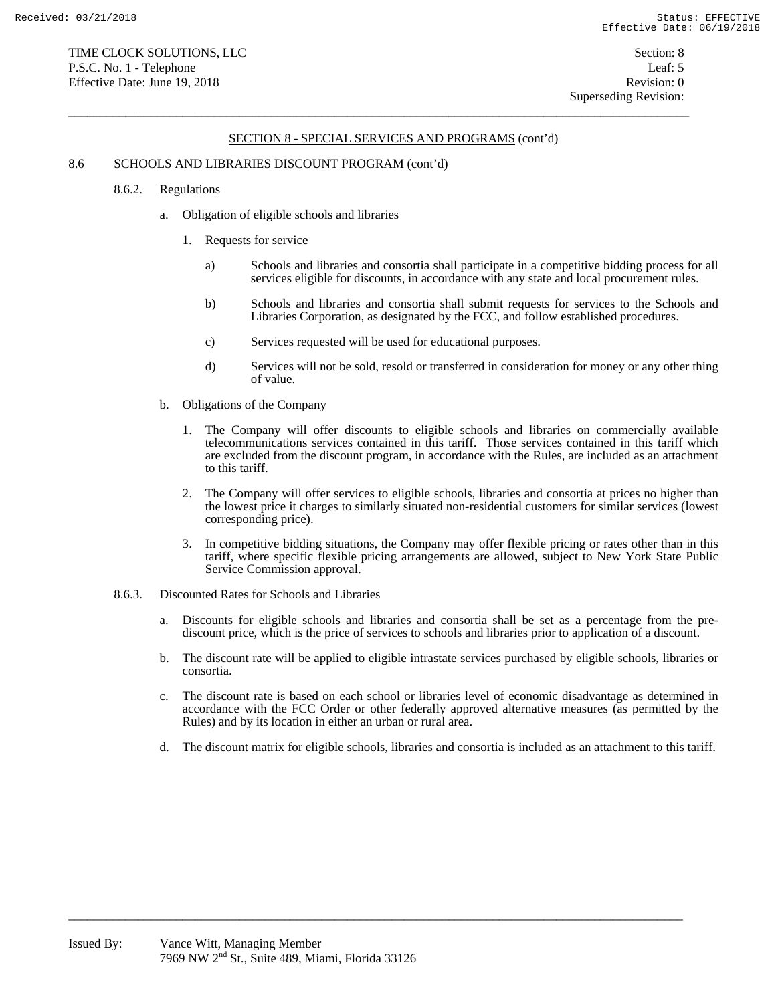$\overline{a}$  , and the state of the state of the state of the state of the state of the state of the state of the state of the state of the state of the state of the state of the state of the state of the state of the state o

## 8.6 SCHOOLS AND LIBRARIES DISCOUNT PROGRAM (cont'd)

- 8.6.2. Regulations
	- a. Obligation of eligible schools and libraries
		- 1. Requests for service
			- a) Schools and libraries and consortia shall participate in a competitive bidding process for all services eligible for discounts, in accordance with any state and local procurement rules.
			- b) Schools and libraries and consortia shall submit requests for services to the Schools and Libraries Corporation, as designated by the FCC, and follow established procedures.
			- c) Services requested will be used for educational purposes.
			- d) Services will not be sold, resold or transferred in consideration for money or any other thing of value.
	- b. Obligations of the Company
		- 1. The Company will offer discounts to eligible schools and libraries on commercially available telecommunications services contained in this tariff. Those services contained in this tariff which are excluded from the discount program, in accordance with the Rules, are included as an attachment to this tariff.
		- 2. The Company will offer services to eligible schools, libraries and consortia at prices no higher than the lowest price it charges to similarly situated non-residential customers for similar services (lowest corresponding price).
		- 3. In competitive bidding situations, the Company may offer flexible pricing or rates other than in this tariff, where specific flexible pricing arrangements are allowed, subject to New York State Public Service Commission approval.
- 8.6.3. Discounted Rates for Schools and Libraries
	- a. Discounts for eligible schools and libraries and consortia shall be set as a percentage from the prediscount price, which is the price of services to schools and libraries prior to application of a discount.
	- b. The discount rate will be applied to eligible intrastate services purchased by eligible schools, libraries or consortia.
	- c. The discount rate is based on each school or libraries level of economic disadvantage as determined in accordance with the FCC Order or other federally approved alternative measures (as permitted by the Rules) and by its location in either an urban or rural area.
	- d. The discount matrix for eligible schools, libraries and consortia is included as an attachment to this tariff.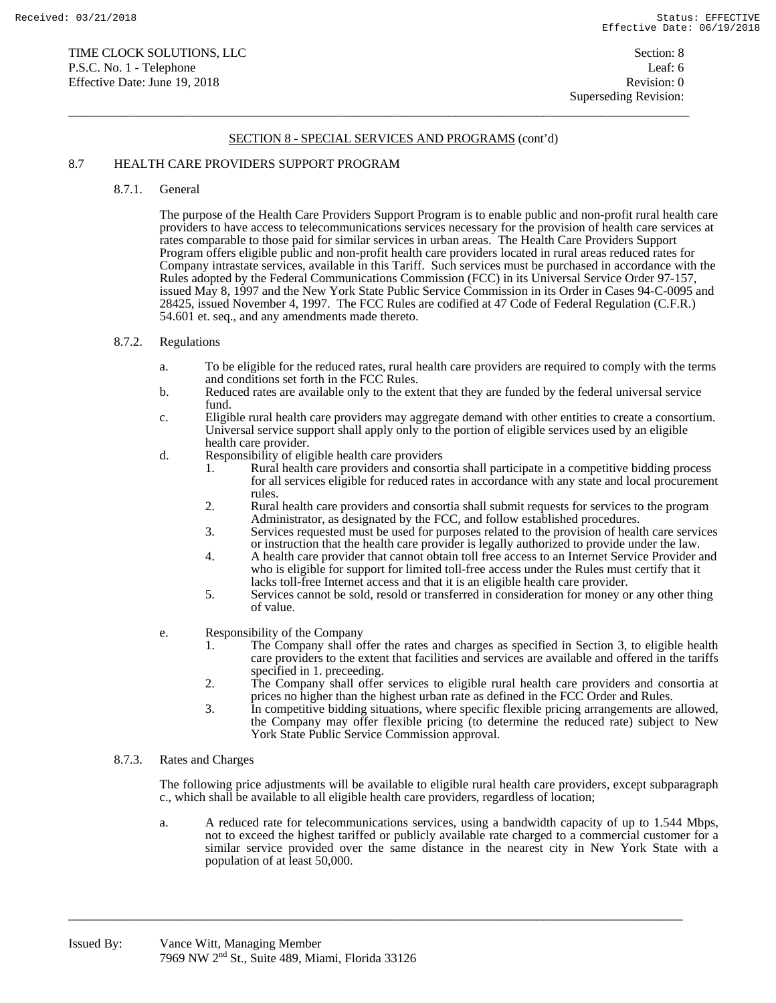$\overline{a}$  , and the state of the state of the state of the state of the state of the state of the state of the state of the state of the state of the state of the state of the state of the state of the state of the state o

# 8.7 HEALTH CARE PROVIDERS SUPPORT PROGRAM

8.7.1. General

The purpose of the Health Care Providers Support Program is to enable public and non-profit rural health care providers to have access to telecommunications services necessary for the provision of health care services at rates comparable to those paid for similar services in urban areas. The Health Care Providers Support Program offers eligible public and non-profit health care providers located in rural areas reduced rates for Company intrastate services, available in this Tariff. Such services must be purchased in accordance with the Rules adopted by the Federal Communications Commission (FCC) in its Universal Service Order 97-157, issued May 8, 1997 and the New York State Public Service Commission in its Order in Cases 94-C-0095 and 28425, issued November 4, 1997. The FCC Rules are codified at 47 Code of Federal Regulation (C.F.R.) 54.601 et. seq., and any amendments made thereto.

#### 8.7.2. Regulations

- a. To be eligible for the reduced rates, rural health care providers are required to comply with the terms and conditions set forth in the FCC Rules.
- b. Reduced rates are available only to the extent that they are funded by the federal universal service fund.
- c. Eligible rural health care providers may aggregate demand with other entities to create a consortium. Universal service support shall apply only to the portion of eligible services used by an eligible health care provider.
- d. Responsibility of eligible health care providers
	- 1. Rural health care providers and consortia shall participate in a competitive bidding process for all services eligible for reduced rates in accordance with any state and local procurement rules.
	- 2. Rural health care providers and consortia shall submit requests for services to the program Administrator, as designated by the FCC, and follow established procedures.
	- 3. Services requested must be used for purposes related to the provision of health care services or instruction that the health care provider is legally authorized to provide under the law.
	- 4. A health care provider that cannot obtain toll free access to an Internet Service Provider and who is eligible for support for limited toll-free access under the Rules must certify that it lacks toll-free Internet access and that it is an eligible health care provider.
	- 5. Services cannot be sold, resold or transferred in consideration for money or any other thing of value.
- e. Responsibility of the Company
	- 1. The Company shall offer the rates and charges as specified in Section 3, to eligible health care providers to the extent that facilities and services are available and offered in the tariffs specified in 1. preceeding.
	- 2. The Company shall offer services to eligible rural health care providers and consortia at prices no higher than the highest urban rate as defined in the FCC Order and Rules.
	- 3. In competitive bidding situations, where specific flexible pricing arrangements are allowed, the Company may offer flexible pricing (to determine the reduced rate) subject to New York State Public Service Commission approval.
- 8.7.3. Rates and Charges

The following price adjustments will be available to eligible rural health care providers, except subparagraph c., which shall be available to all eligible health care providers, regardless of location;

a. A reduced rate for telecommunications services, using a bandwidth capacity of up to 1.544 Mbps, not to exceed the highest tariffed or publicly available rate charged to a commercial customer for a similar service provided over the same distance in the nearest city in New York State with a population of at least 50,000.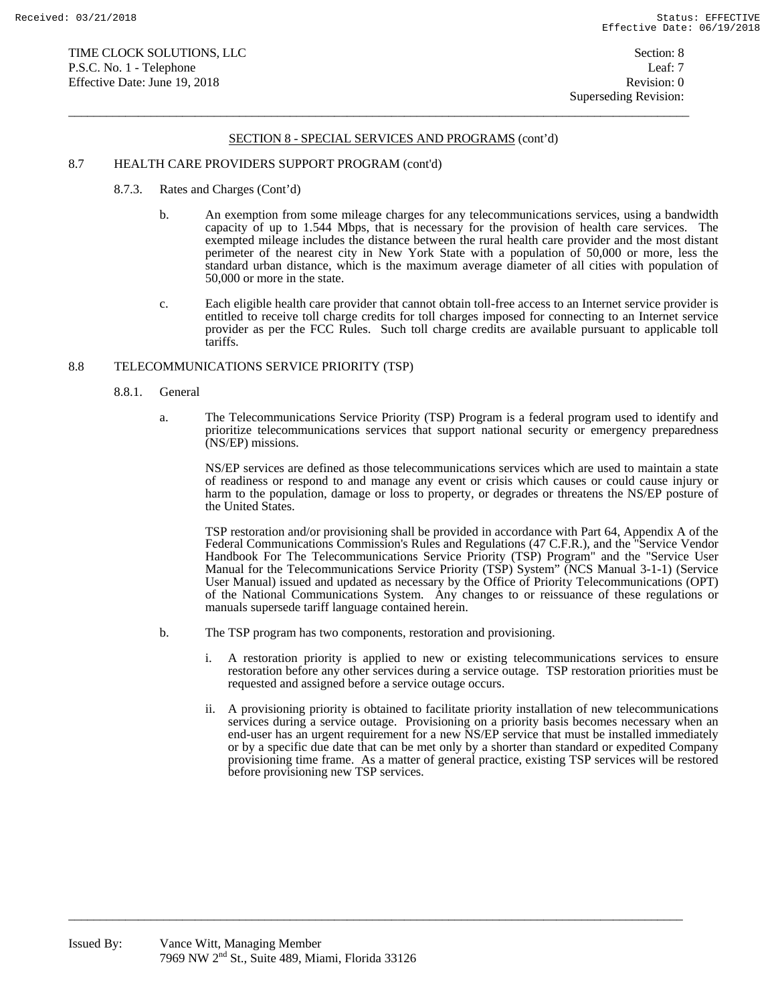$\overline{a}$  , and the state of the state of the state of the state of the state of the state of the state of the state of the state of the state of the state of the state of the state of the state of the state of the state o

## 8.7 HEALTH CARE PROVIDERS SUPPORT PROGRAM (cont'd)

- 8.7.3. Rates and Charges (Cont'd)
	- b. An exemption from some mileage charges for any telecommunications services, using a bandwidth capacity of up to 1.544 Mbps, that is necessary for the provision of health care services. The exempted mileage includes the distance between the rural health care provider and the most distant perimeter of the nearest city in New York State with a population of 50,000 or more, less the standard urban distance, which is the maximum average diameter of all cities with population of 50,000 or more in the state.
	- c. Each eligible health care provider that cannot obtain toll-free access to an Internet service provider is entitled to receive toll charge credits for toll charges imposed for connecting to an Internet service provider as per the FCC Rules. Such toll charge credits are available pursuant to applicable toll tariffs.

## 8.8 TELECOMMUNICATIONS SERVICE PRIORITY (TSP)

- 8.8.1. General
	- a. The Telecommunications Service Priority (TSP) Program is a federal program used to identify and prioritize telecommunications services that support national security or emergency preparedness (NS/EP) missions.

NS/EP services are defined as those telecommunications services which are used to maintain a state of readiness or respond to and manage any event or crisis which causes or could cause injury or harm to the population, damage or loss to property, or degrades or threatens the NS/EP posture of the United States.

TSP restoration and/or provisioning shall be provided in accordance with Part 64, Appendix A of the Federal Communications Commission's Rules and Regulations (47 C.F.R.), and the "Service Vendor Handbook For The Telecommunications Service Priority (TSP) Program" and the "Service User Manual for the Telecommunications Service Priority (TSP) System" (NCS Manual 3-1-1) (Service User Manual) issued and updated as necessary by the Office of Priority Telecommunications (OPT) of the National Communications System. Any changes to or reissuance of these regulations or manuals supersede tariff language contained herein.

b. The TSP program has two components, restoration and provisioning.

- i. A restoration priority is applied to new or existing telecommunications services to ensure restoration before any other services during a service outage. TSP restoration priorities must be requested and assigned before a service outage occurs.
- ii. A provisioning priority is obtained to facilitate priority installation of new telecommunications services during a service outage. Provisioning on a priority basis becomes necessary when an end-user has an urgent requirement for a new NS/EP service that must be installed immediately or by a specific due date that can be met only by a shorter than standard or expedited Company provisioning time frame. As a matter of general practice, existing TSP services will be restored before provisioning new TSP services.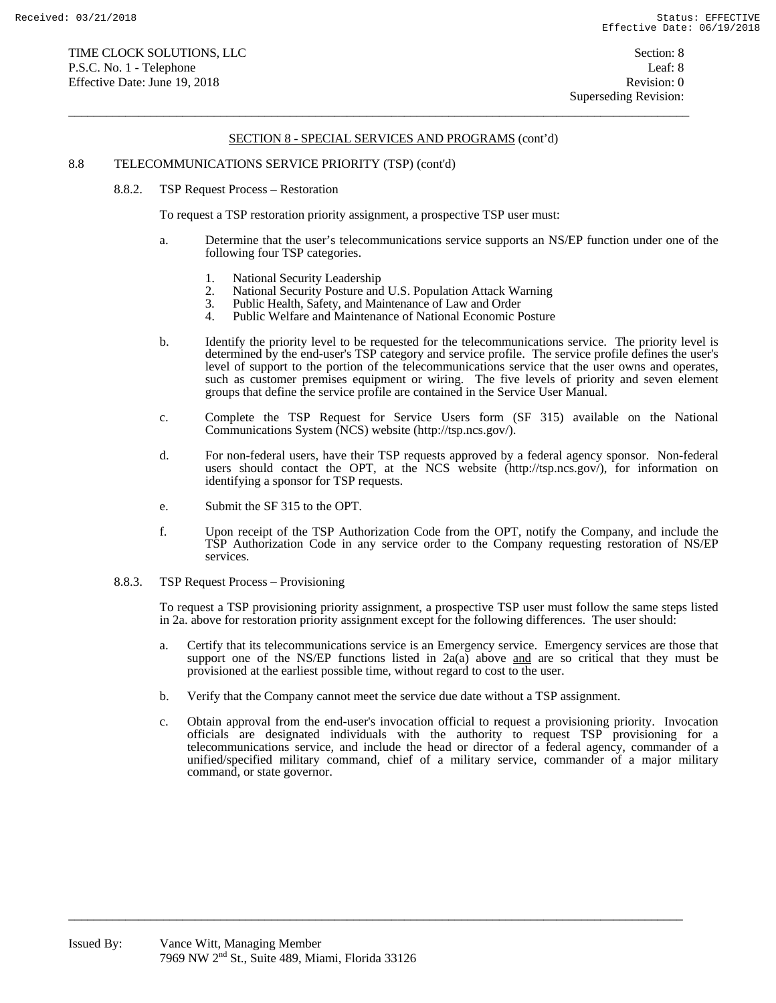$\overline{a}$  , and the state of the state of the state of the state of the state of the state of the state of the state of the state of the state of the state of the state of the state of the state of the state of the state o

# 8.8 TELECOMMUNICATIONS SERVICE PRIORITY (TSP) (cont'd)

8.8.2. TSP Request Process – Restoration

To request a TSP restoration priority assignment, a prospective TSP user must:

- a. Determine that the user's telecommunications service supports an NS/EP function under one of the following four TSP categories.
	- 1. National Security Leadership
	- 2. National Security Posture and U.S. Population Attack Warning<br>3. Public Health. Safety, and Maintenance of Law and Order
	- 3. Public Health, Safety, and Maintenance of Law and Order 4 Public Welfare and Maintenance of National Economic P
	- 4. Public Welfare and Maintenance of National Economic Posture
- b. Identify the priority level to be requested for the telecommunications service. The priority level is determined by the end-user's TSP category and service profile. The service profile defines the user's level of support to the portion of the telecommunications service that the user owns and operates, such as customer premises equipment or wiring. The five levels of priority and seven element groups that define the service profile are contained in the Service User Manual.
- c. Complete the TSP Request for Service Users form (SF 315) available on the National Communications System (NCS) website (http://tsp.ncs.gov/).
- d. For non-federal users, have their TSP requests approved by a federal agency sponsor. Non-federal users should contact the OPT, at the NCS website (http://tsp.ncs.gov/), for information on identifying a sponsor for TSP requests.
- e. Submit the SF 315 to the OPT.
- f. Upon receipt of the TSP Authorization Code from the OPT, notify the Company, and include the TSP Authorization Code in any service order to the Company requesting restoration of NS/EP services.
- 8.8.3. TSP Request Process Provisioning

To request a TSP provisioning priority assignment, a prospective TSP user must follow the same steps listed in 2a. above for restoration priority assignment except for the following differences. The user should:

- a. Certify that its telecommunications service is an Emergency service. Emergency services are those that support one of the NS/EP functions listed in 2a(a) above and are so critical that they must be provisioned at the earliest possible time, without regard to cost to the user.
- b. Verify that the Company cannot meet the service due date without a TSP assignment.

 $\overline{a_1}$  ,  $\overline{a_2}$  ,  $\overline{a_3}$  ,  $\overline{a_4}$  ,  $\overline{a_5}$  ,  $\overline{a_6}$  ,  $\overline{a_7}$  ,  $\overline{a_8}$  ,  $\overline{a_9}$  ,  $\overline{a_9}$  ,  $\overline{a_9}$  ,  $\overline{a_9}$  ,  $\overline{a_9}$  ,  $\overline{a_9}$  ,  $\overline{a_9}$  ,  $\overline{a_9}$  ,  $\overline{a_9}$  ,

c. Obtain approval from the end-user's invocation official to request a provisioning priority. Invocation officials are designated individuals with the authority to request TSP provisioning for a telecommunications service, and include the head or director of a federal agency, commander of a unified/specified military command, chief of a military service, commander of a major military command, or state governor.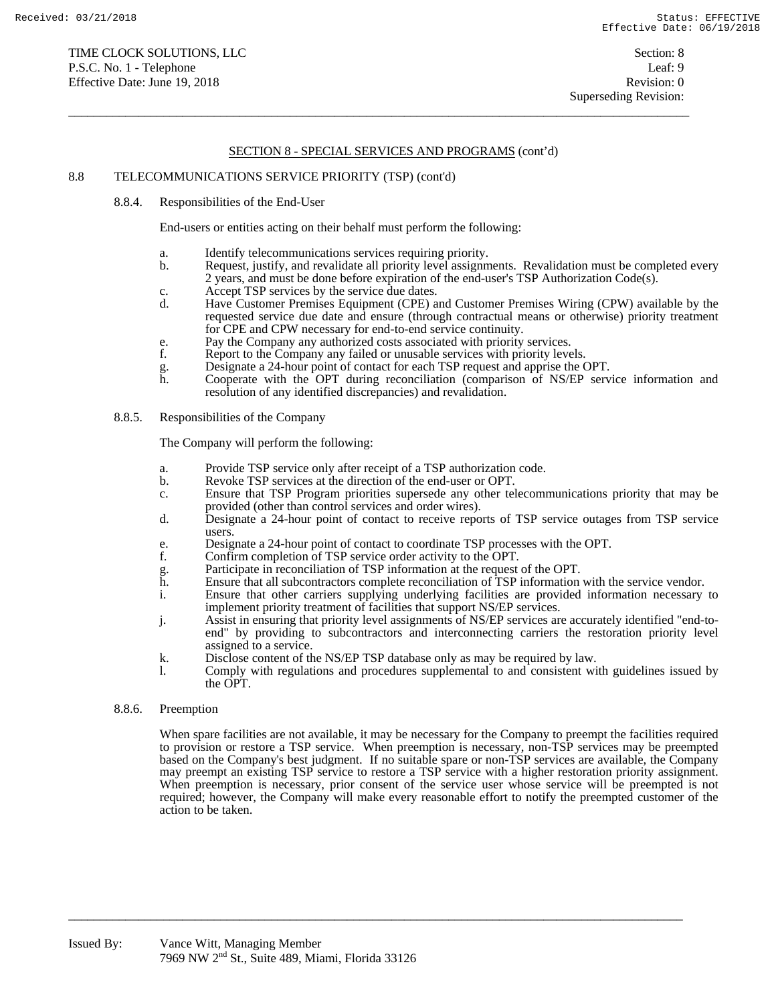$\overline{a}$  , and the state of the state of the state of the state of the state of the state of the state of the state of the state of the state of the state of the state of the state of the state of the state of the state o

## 8.8 TELECOMMUNICATIONS SERVICE PRIORITY (TSP) (cont'd)

8.8.4. Responsibilities of the End-User

End-users or entities acting on their behalf must perform the following:

- a. Identify telecommunications services requiring priority.
- b. Request, justify, and revalidate all priority level assignments. Revalidation must be completed every 2 years, and must be done before expiration of the end-user's TSP Authorization Code(s).
- c. Accept TSP services by the service due dates.
- d. Have Customer Premises Equipment (CPE) and Customer Premises Wiring (CPW) available by the requested service due date and ensure (through contractual means or otherwise) priority treatment for CPE and CPW necessary for end-to-end service continuity.
- 
- e. Pay the Company any authorized costs associated with priority services.<br>
F. Report to the Company any failed or unusable services with priority leve Report to the Company any failed or unusable services with priority levels.
- 
- g. Designate a 24-hour point of contact for each TSP request and apprise the OPT. Cooperate with the OPT during reconciliation (comparison of NS/EP service information and resolution of any identified discrepancies) and revalidation.

#### 8.8.5. Responsibilities of the Company

The Company will perform the following:

- a. Provide TSP service only after receipt of a TSP authorization code.
- b. Revoke TSP services at the direction of the end-user or OPT.
- c. Ensure that TSP Program priorities supersede any other telecommunications priority that may be provided (other than control services and order wires).
- d. Designate a 24-hour point of contact to receive reports of TSP service outages from TSP service users.
- e. Designate a 24-hour point of contact to coordinate TSP processes with the OPT.
- 
- f. Confirm completion of TSP service order activity to the OPT.<br>
g. Participate in reconciliation of TSP information at the request<br>
h. Ensure that all subcontractors complete reconciliation of TSP Participate in reconciliation of TSP information at the request of the OPT.
- Ensure that all subcontractors complete reconciliation of TSP information with the service vendor.
- i. Ensure that other carriers supplying underlying facilities are provided information necessary to implement priority treatment of facilities that support NS/EP services.
- j. Assist in ensuring that priority level assignments of NS/EP services are accurately identified "end-toend" by providing to subcontractors and interconnecting carriers the restoration priority level assigned to a service.
- k. Disclose content of the NS/EP TSP database only as may be required by law.

 $\overline{a_1}$  ,  $\overline{a_2}$  ,  $\overline{a_3}$  ,  $\overline{a_4}$  ,  $\overline{a_5}$  ,  $\overline{a_6}$  ,  $\overline{a_7}$  ,  $\overline{a_8}$  ,  $\overline{a_9}$  ,  $\overline{a_9}$  ,  $\overline{a_9}$  ,  $\overline{a_9}$  ,  $\overline{a_9}$  ,  $\overline{a_9}$  ,  $\overline{a_9}$  ,  $\overline{a_9}$  ,  $\overline{a_9}$  ,

l. Comply with regulations and procedures supplemental to and consistent with guidelines issued by the OPT.

#### 8.8.6. Preemption

When spare facilities are not available, it may be necessary for the Company to preempt the facilities required to provision or restore a TSP service. When preemption is necessary, non-TSP services may be preempted based on the Company's best judgment. If no suitable spare or non-TSP services are available, the Company may preempt an existing TSP service to restore a TSP service with a higher restoration priority assignment. When preemption is necessary, prior consent of the service user whose service will be preempted is not required; however, the Company will make every reasonable effort to notify the preempted customer of the action to be taken.